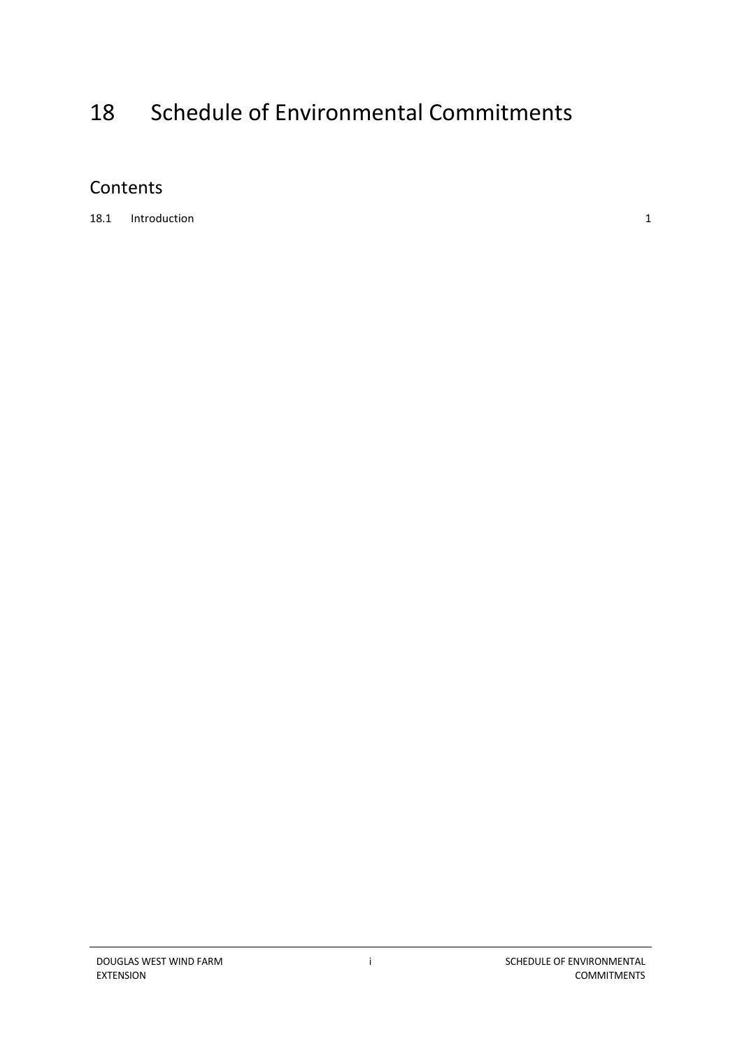# 18 Schedule of Environmental Commitments

### **Contents**

18.1 [Introduction](#page-2-0) 18.1 Introduction 1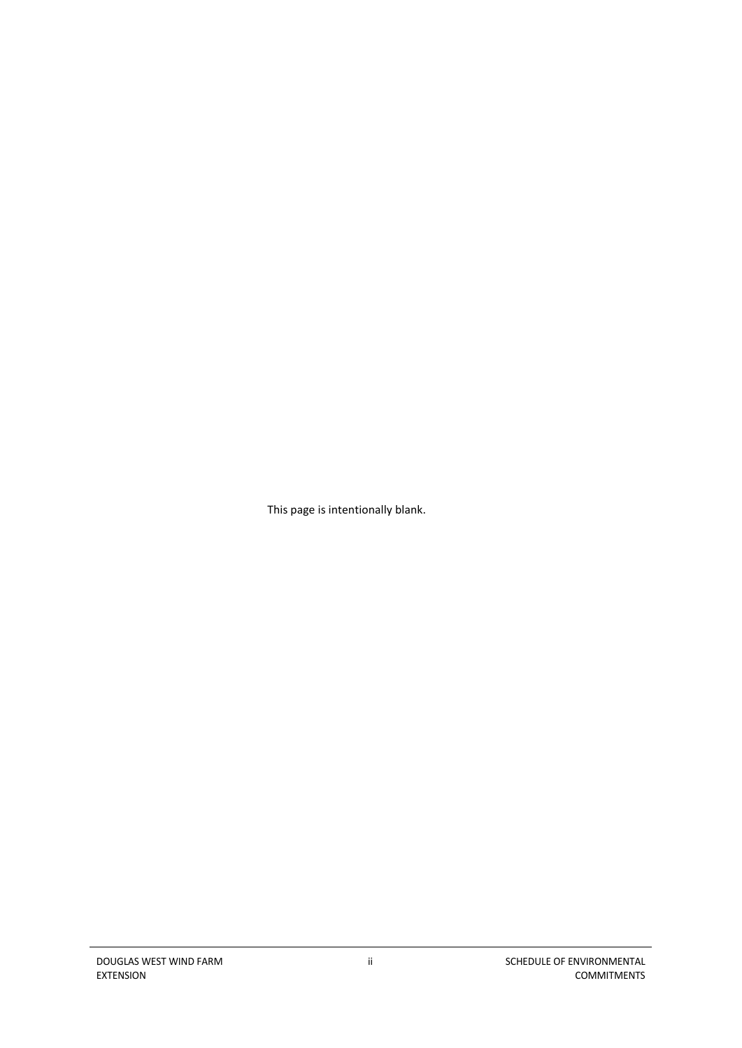This page is intentionally blank.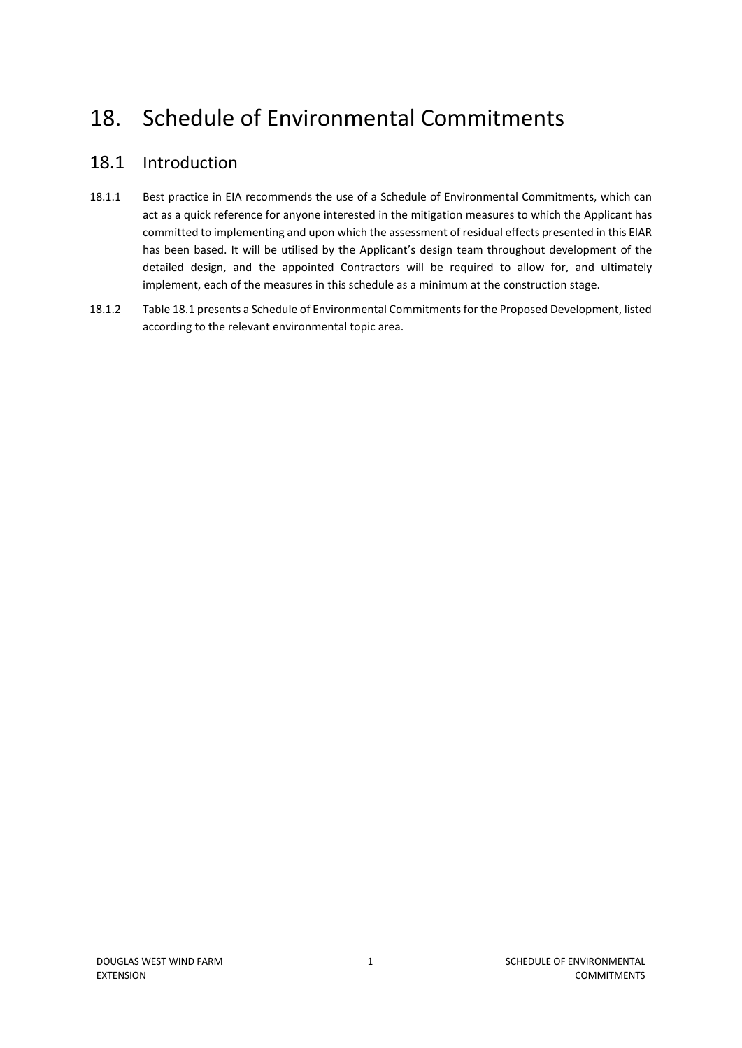## <span id="page-2-0"></span>18. Schedule of Environmental Commitments

#### 18.1 Introduction

- 18.1.1 Best practice in EIA recommends the use of a Schedule of Environmental Commitments, which can act as a quick reference for anyone interested in the mitigation measures to which the Applicant has committed to implementing and upon which the assessment of residual effects presented in this EIAR has been based. It will be utilised by the Applicant's design team throughout development of the detailed design, and the appointed Contractors will be required to allow for, and ultimately implement, each of the measures in this schedule as a minimum at the construction stage.
- 18.1.2 Table 18.1 presents a Schedule of Environmental Commitments for the Proposed Development, listed according to the relevant environmental topic area.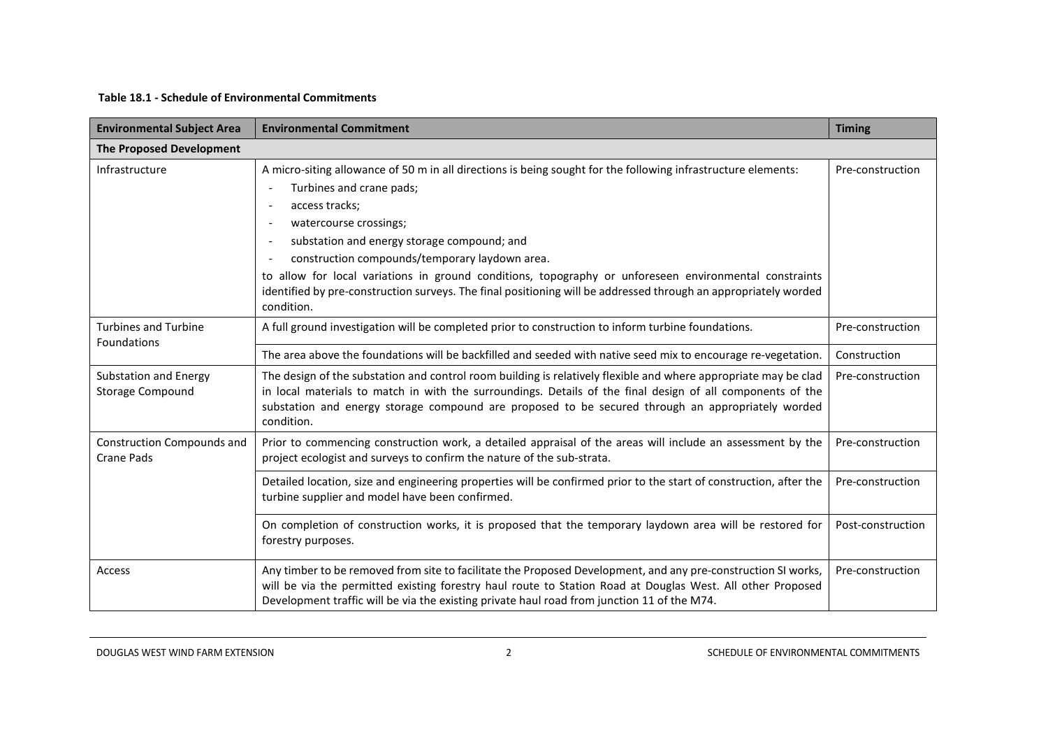#### **Table 18.1 - Schedule of Environmental Commitments**

| <b>Environmental Subject Area</b>               | <b>Environmental Commitment</b>                                                                                                                                                                                                                                                                                                                                                                                                                                                                                                   | <b>Timing</b>     |
|-------------------------------------------------|-----------------------------------------------------------------------------------------------------------------------------------------------------------------------------------------------------------------------------------------------------------------------------------------------------------------------------------------------------------------------------------------------------------------------------------------------------------------------------------------------------------------------------------|-------------------|
| <b>The Proposed Development</b>                 |                                                                                                                                                                                                                                                                                                                                                                                                                                                                                                                                   |                   |
| Infrastructure                                  | A micro-siting allowance of 50 m in all directions is being sought for the following infrastructure elements:<br>Turbines and crane pads;<br>access tracks;<br>watercourse crossings;<br>substation and energy storage compound; and<br>construction compounds/temporary laydown area.<br>to allow for local variations in ground conditions, topography or unforeseen environmental constraints<br>identified by pre-construction surveys. The final positioning will be addressed through an appropriately worded<br>condition. | Pre-construction  |
| <b>Turbines and Turbine</b>                     | A full ground investigation will be completed prior to construction to inform turbine foundations.                                                                                                                                                                                                                                                                                                                                                                                                                                | Pre-construction  |
| <b>Foundations</b>                              | The area above the foundations will be backfilled and seeded with native seed mix to encourage re-vegetation.                                                                                                                                                                                                                                                                                                                                                                                                                     | Construction      |
| Substation and Energy<br>Storage Compound       | The design of the substation and control room building is relatively flexible and where appropriate may be clad<br>in local materials to match in with the surroundings. Details of the final design of all components of the<br>substation and energy storage compound are proposed to be secured through an appropriately worded<br>condition.                                                                                                                                                                                  | Pre-construction  |
| <b>Construction Compounds and</b><br>Crane Pads | Prior to commencing construction work, a detailed appraisal of the areas will include an assessment by the<br>project ecologist and surveys to confirm the nature of the sub-strata.                                                                                                                                                                                                                                                                                                                                              | Pre-construction  |
|                                                 | Detailed location, size and engineering properties will be confirmed prior to the start of construction, after the<br>turbine supplier and model have been confirmed.                                                                                                                                                                                                                                                                                                                                                             | Pre-construction  |
|                                                 | On completion of construction works, it is proposed that the temporary laydown area will be restored for<br>forestry purposes.                                                                                                                                                                                                                                                                                                                                                                                                    | Post-construction |
| Access                                          | Any timber to be removed from site to facilitate the Proposed Development, and any pre-construction SI works,<br>will be via the permitted existing forestry haul route to Station Road at Douglas West. All other Proposed<br>Development traffic will be via the existing private haul road from junction 11 of the M74.                                                                                                                                                                                                        | Pre-construction  |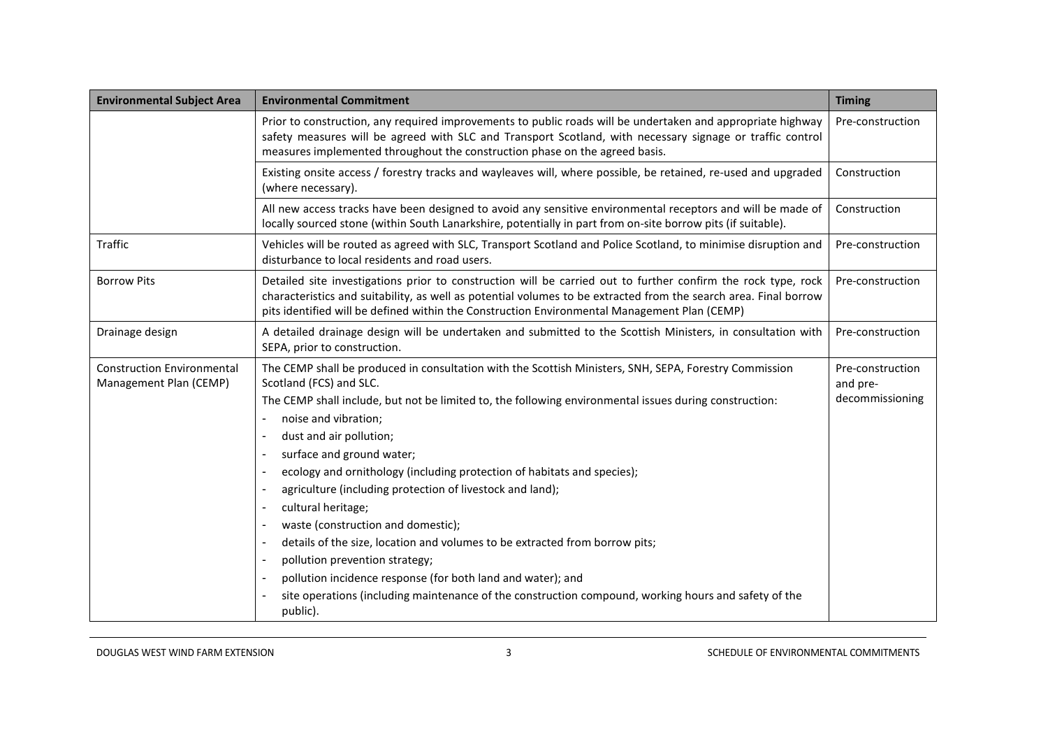| <b>Environmental Subject Area</b>                           | <b>Environmental Commitment</b>                                                                                                                                                                                                                                                                                                   | <b>Timing</b>                |
|-------------------------------------------------------------|-----------------------------------------------------------------------------------------------------------------------------------------------------------------------------------------------------------------------------------------------------------------------------------------------------------------------------------|------------------------------|
|                                                             | Prior to construction, any required improvements to public roads will be undertaken and appropriate highway<br>safety measures will be agreed with SLC and Transport Scotland, with necessary signage or traffic control<br>measures implemented throughout the construction phase on the agreed basis.                           | Pre-construction             |
|                                                             | Existing onsite access / forestry tracks and wayleaves will, where possible, be retained, re-used and upgraded<br>(where necessary).                                                                                                                                                                                              | Construction                 |
|                                                             | All new access tracks have been designed to avoid any sensitive environmental receptors and will be made of<br>locally sourced stone (within South Lanarkshire, potentially in part from on-site borrow pits (if suitable).                                                                                                       | Construction                 |
| <b>Traffic</b>                                              | Vehicles will be routed as agreed with SLC, Transport Scotland and Police Scotland, to minimise disruption and<br>disturbance to local residents and road users.                                                                                                                                                                  | Pre-construction             |
| <b>Borrow Pits</b>                                          | Detailed site investigations prior to construction will be carried out to further confirm the rock type, rock<br>characteristics and suitability, as well as potential volumes to be extracted from the search area. Final borrow<br>pits identified will be defined within the Construction Environmental Management Plan (CEMP) | Pre-construction             |
| Drainage design                                             | A detailed drainage design will be undertaken and submitted to the Scottish Ministers, in consultation with<br>SEPA, prior to construction.                                                                                                                                                                                       | Pre-construction             |
| <b>Construction Environmental</b><br>Management Plan (CEMP) | The CEMP shall be produced in consultation with the Scottish Ministers, SNH, SEPA, Forestry Commission<br>Scotland (FCS) and SLC.                                                                                                                                                                                                 | Pre-construction<br>and pre- |
|                                                             | The CEMP shall include, but not be limited to, the following environmental issues during construction:                                                                                                                                                                                                                            | decommissioning              |
|                                                             | noise and vibration;<br>$\overline{\phantom{0}}$                                                                                                                                                                                                                                                                                  |                              |
|                                                             | dust and air pollution;                                                                                                                                                                                                                                                                                                           |                              |
|                                                             | surface and ground water;<br>$\blacksquare$                                                                                                                                                                                                                                                                                       |                              |
|                                                             | ecology and ornithology (including protection of habitats and species);                                                                                                                                                                                                                                                           |                              |
|                                                             | agriculture (including protection of livestock and land);<br>$\blacksquare$                                                                                                                                                                                                                                                       |                              |
|                                                             | cultural heritage;                                                                                                                                                                                                                                                                                                                |                              |
|                                                             | waste (construction and domestic);<br>$\blacksquare$                                                                                                                                                                                                                                                                              |                              |
|                                                             | details of the size, location and volumes to be extracted from borrow pits;                                                                                                                                                                                                                                                       |                              |
|                                                             | pollution prevention strategy;<br>$\blacksquare$                                                                                                                                                                                                                                                                                  |                              |
|                                                             | pollution incidence response (for both land and water); and                                                                                                                                                                                                                                                                       |                              |
|                                                             | site operations (including maintenance of the construction compound, working hours and safety of the<br>public).                                                                                                                                                                                                                  |                              |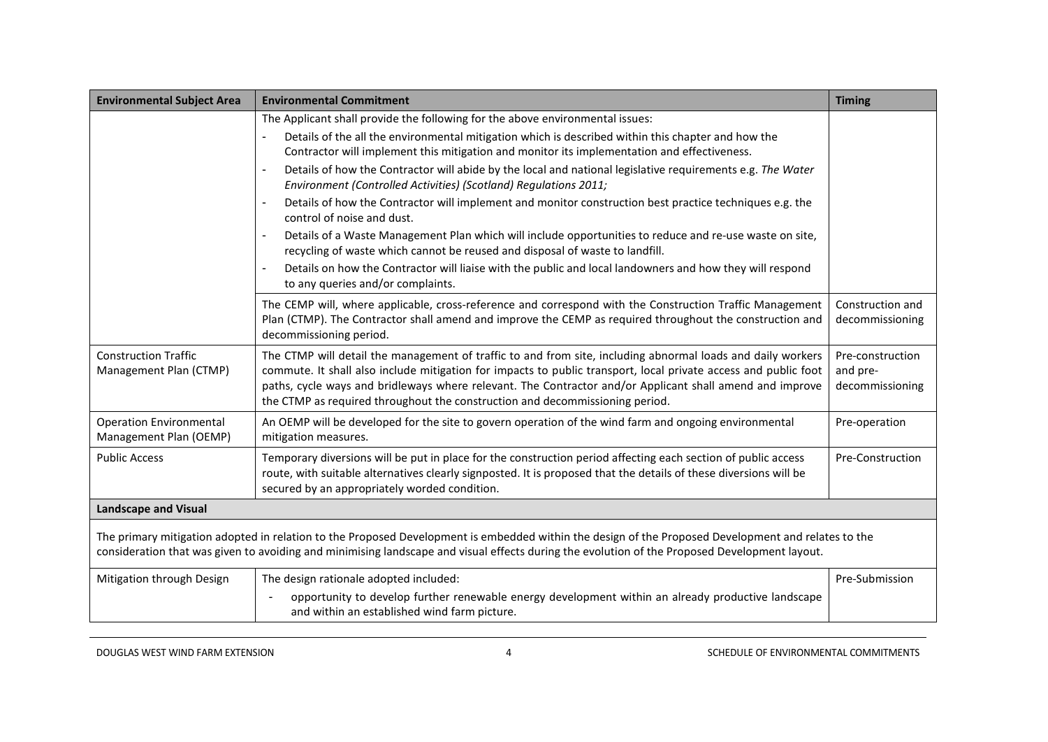| <b>Environmental Subject Area</b>                                                                                                                                                                                                                                                                    | <b>Environmental Commitment</b>                                                                                                                                                                                                                                                                                                                                                                                            | <b>Timing</b>                                   |
|------------------------------------------------------------------------------------------------------------------------------------------------------------------------------------------------------------------------------------------------------------------------------------------------------|----------------------------------------------------------------------------------------------------------------------------------------------------------------------------------------------------------------------------------------------------------------------------------------------------------------------------------------------------------------------------------------------------------------------------|-------------------------------------------------|
|                                                                                                                                                                                                                                                                                                      | The Applicant shall provide the following for the above environmental issues:                                                                                                                                                                                                                                                                                                                                              |                                                 |
|                                                                                                                                                                                                                                                                                                      | Details of the all the environmental mitigation which is described within this chapter and how the<br>$\overline{\phantom{a}}$<br>Contractor will implement this mitigation and monitor its implementation and effectiveness.                                                                                                                                                                                              |                                                 |
|                                                                                                                                                                                                                                                                                                      | Details of how the Contractor will abide by the local and national legislative requirements e.g. The Water<br>Environment (Controlled Activities) (Scotland) Regulations 2011;                                                                                                                                                                                                                                             |                                                 |
|                                                                                                                                                                                                                                                                                                      | Details of how the Contractor will implement and monitor construction best practice techniques e.g. the<br>control of noise and dust.                                                                                                                                                                                                                                                                                      |                                                 |
|                                                                                                                                                                                                                                                                                                      | Details of a Waste Management Plan which will include opportunities to reduce and re-use waste on site,<br>$\blacksquare$<br>recycling of waste which cannot be reused and disposal of waste to landfill.                                                                                                                                                                                                                  |                                                 |
|                                                                                                                                                                                                                                                                                                      | Details on how the Contractor will liaise with the public and local landowners and how they will respond<br>to any queries and/or complaints.                                                                                                                                                                                                                                                                              |                                                 |
|                                                                                                                                                                                                                                                                                                      | The CEMP will, where applicable, cross-reference and correspond with the Construction Traffic Management<br>Plan (CTMP). The Contractor shall amend and improve the CEMP as required throughout the construction and<br>decommissioning period.                                                                                                                                                                            | Construction and<br>decommissioning             |
| <b>Construction Traffic</b><br>Management Plan (CTMP)                                                                                                                                                                                                                                                | The CTMP will detail the management of traffic to and from site, including abnormal loads and daily workers<br>commute. It shall also include mitigation for impacts to public transport, local private access and public foot<br>paths, cycle ways and bridleways where relevant. The Contractor and/or Applicant shall amend and improve<br>the CTMP as required throughout the construction and decommissioning period. | Pre-construction<br>and pre-<br>decommissioning |
| <b>Operation Environmental</b><br>Management Plan (OEMP)                                                                                                                                                                                                                                             | An OEMP will be developed for the site to govern operation of the wind farm and ongoing environmental<br>mitigation measures.                                                                                                                                                                                                                                                                                              | Pre-operation                                   |
| <b>Public Access</b>                                                                                                                                                                                                                                                                                 | Temporary diversions will be put in place for the construction period affecting each section of public access<br>route, with suitable alternatives clearly signposted. It is proposed that the details of these diversions will be<br>secured by an appropriately worded condition.                                                                                                                                        | Pre-Construction                                |
| <b>Landscape and Visual</b>                                                                                                                                                                                                                                                                          |                                                                                                                                                                                                                                                                                                                                                                                                                            |                                                 |
| The primary mitigation adopted in relation to the Proposed Development is embedded within the design of the Proposed Development and relates to the<br>consideration that was given to avoiding and minimising landscape and visual effects during the evolution of the Proposed Development layout. |                                                                                                                                                                                                                                                                                                                                                                                                                            |                                                 |
| Mitigation through Design                                                                                                                                                                                                                                                                            | The design rationale adopted included:<br>opportunity to develop further renewable energy development within an already productive landscape<br>and within an established wind farm picture.                                                                                                                                                                                                                               | Pre-Submission                                  |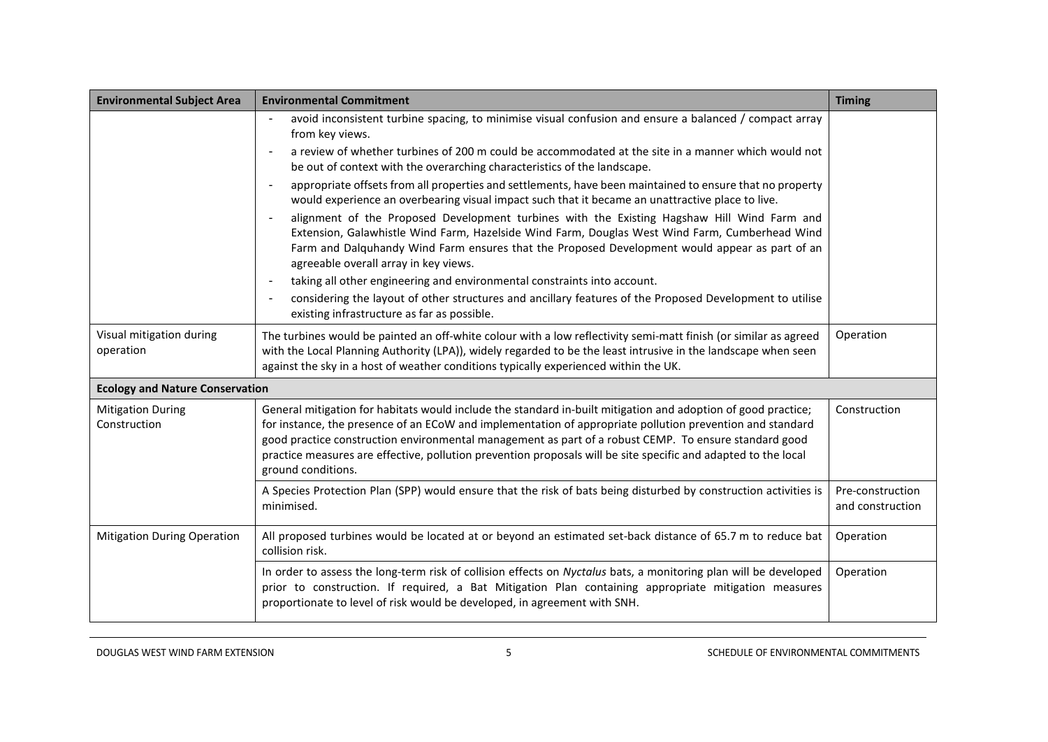| <b>Environmental Subject Area</b>        | <b>Environmental Commitment</b>                                                                                                                                                                                                                                                                                                                                                                                                                                                                                                                                                                                                                                                                                                                                                                                                                                                                                                                                                                                                                                                                                 | <b>Timing</b>                        |
|------------------------------------------|-----------------------------------------------------------------------------------------------------------------------------------------------------------------------------------------------------------------------------------------------------------------------------------------------------------------------------------------------------------------------------------------------------------------------------------------------------------------------------------------------------------------------------------------------------------------------------------------------------------------------------------------------------------------------------------------------------------------------------------------------------------------------------------------------------------------------------------------------------------------------------------------------------------------------------------------------------------------------------------------------------------------------------------------------------------------------------------------------------------------|--------------------------------------|
|                                          | avoid inconsistent turbine spacing, to minimise visual confusion and ensure a balanced / compact array<br>from key views.<br>a review of whether turbines of 200 m could be accommodated at the site in a manner which would not<br>be out of context with the overarching characteristics of the landscape.<br>appropriate offsets from all properties and settlements, have been maintained to ensure that no property<br>would experience an overbearing visual impact such that it became an unattractive place to live.<br>alignment of the Proposed Development turbines with the Existing Hagshaw Hill Wind Farm and<br>Extension, Galawhistle Wind Farm, Hazelside Wind Farm, Douglas West Wind Farm, Cumberhead Wind<br>Farm and Dalquhandy Wind Farm ensures that the Proposed Development would appear as part of an<br>agreeable overall array in key views.<br>taking all other engineering and environmental constraints into account.<br>considering the layout of other structures and ancillary features of the Proposed Development to utilise<br>existing infrastructure as far as possible. |                                      |
| Visual mitigation during<br>operation    | The turbines would be painted an off-white colour with a low reflectivity semi-matt finish (or similar as agreed<br>with the Local Planning Authority (LPA)), widely regarded to be the least intrusive in the landscape when seen<br>against the sky in a host of weather conditions typically experienced within the UK.                                                                                                                                                                                                                                                                                                                                                                                                                                                                                                                                                                                                                                                                                                                                                                                      | Operation                            |
| <b>Ecology and Nature Conservation</b>   |                                                                                                                                                                                                                                                                                                                                                                                                                                                                                                                                                                                                                                                                                                                                                                                                                                                                                                                                                                                                                                                                                                                 |                                      |
| <b>Mitigation During</b><br>Construction | General mitigation for habitats would include the standard in-built mitigation and adoption of good practice;<br>for instance, the presence of an ECoW and implementation of appropriate pollution prevention and standard<br>good practice construction environmental management as part of a robust CEMP. To ensure standard good<br>practice measures are effective, pollution prevention proposals will be site specific and adapted to the local<br>ground conditions.                                                                                                                                                                                                                                                                                                                                                                                                                                                                                                                                                                                                                                     | Construction                         |
|                                          | A Species Protection Plan (SPP) would ensure that the risk of bats being disturbed by construction activities is<br>minimised.                                                                                                                                                                                                                                                                                                                                                                                                                                                                                                                                                                                                                                                                                                                                                                                                                                                                                                                                                                                  | Pre-construction<br>and construction |
| <b>Mitigation During Operation</b>       | All proposed turbines would be located at or beyond an estimated set-back distance of 65.7 m to reduce bat<br>collision risk.                                                                                                                                                                                                                                                                                                                                                                                                                                                                                                                                                                                                                                                                                                                                                                                                                                                                                                                                                                                   | Operation                            |
|                                          | In order to assess the long-term risk of collision effects on Nyctalus bats, a monitoring plan will be developed<br>prior to construction. If required, a Bat Mitigation Plan containing appropriate mitigation measures<br>proportionate to level of risk would be developed, in agreement with SNH.                                                                                                                                                                                                                                                                                                                                                                                                                                                                                                                                                                                                                                                                                                                                                                                                           | Operation                            |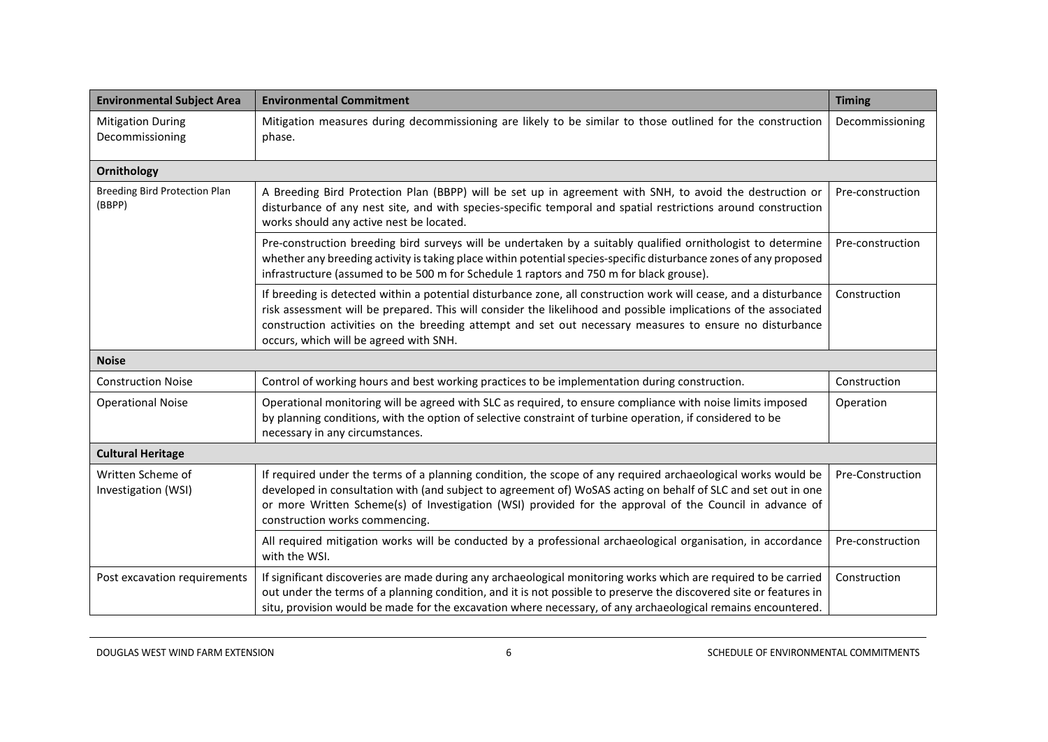| <b>Environmental Subject Area</b>              | <b>Environmental Commitment</b>                                                                                                                                                                                                                                                                                                                                                          | <b>Timing</b>    |
|------------------------------------------------|------------------------------------------------------------------------------------------------------------------------------------------------------------------------------------------------------------------------------------------------------------------------------------------------------------------------------------------------------------------------------------------|------------------|
| <b>Mitigation During</b><br>Decommissioning    | Mitigation measures during decommissioning are likely to be similar to those outlined for the construction<br>phase.                                                                                                                                                                                                                                                                     | Decommissioning  |
| Ornithology                                    |                                                                                                                                                                                                                                                                                                                                                                                          |                  |
| <b>Breeding Bird Protection Plan</b><br>(BBPP) | A Breeding Bird Protection Plan (BBPP) will be set up in agreement with SNH, to avoid the destruction or<br>disturbance of any nest site, and with species-specific temporal and spatial restrictions around construction<br>works should any active nest be located.                                                                                                                    | Pre-construction |
|                                                | Pre-construction breeding bird surveys will be undertaken by a suitably qualified ornithologist to determine<br>whether any breeding activity is taking place within potential species-specific disturbance zones of any proposed<br>infrastructure (assumed to be 500 m for Schedule 1 raptors and 750 m for black grouse).                                                             | Pre-construction |
|                                                | If breeding is detected within a potential disturbance zone, all construction work will cease, and a disturbance<br>risk assessment will be prepared. This will consider the likelihood and possible implications of the associated<br>construction activities on the breeding attempt and set out necessary measures to ensure no disturbance<br>occurs, which will be agreed with SNH. | Construction     |
| <b>Noise</b>                                   |                                                                                                                                                                                                                                                                                                                                                                                          |                  |
| <b>Construction Noise</b>                      | Control of working hours and best working practices to be implementation during construction.                                                                                                                                                                                                                                                                                            | Construction     |
| <b>Operational Noise</b>                       | Operational monitoring will be agreed with SLC as required, to ensure compliance with noise limits imposed<br>by planning conditions, with the option of selective constraint of turbine operation, if considered to be<br>necessary in any circumstances.                                                                                                                               | Operation        |
| <b>Cultural Heritage</b>                       |                                                                                                                                                                                                                                                                                                                                                                                          |                  |
| Written Scheme of<br>Investigation (WSI)       | If required under the terms of a planning condition, the scope of any required archaeological works would be<br>developed in consultation with (and subject to agreement of) WoSAS acting on behalf of SLC and set out in one<br>or more Written Scheme(s) of Investigation (WSI) provided for the approval of the Council in advance of<br>construction works commencing.               | Pre-Construction |
|                                                | All required mitigation works will be conducted by a professional archaeological organisation, in accordance<br>with the WSI.                                                                                                                                                                                                                                                            | Pre-construction |
| Post excavation requirements                   | If significant discoveries are made during any archaeological monitoring works which are required to be carried<br>out under the terms of a planning condition, and it is not possible to preserve the discovered site or features in<br>situ, provision would be made for the excavation where necessary, of any archaeological remains encountered.                                    | Construction     |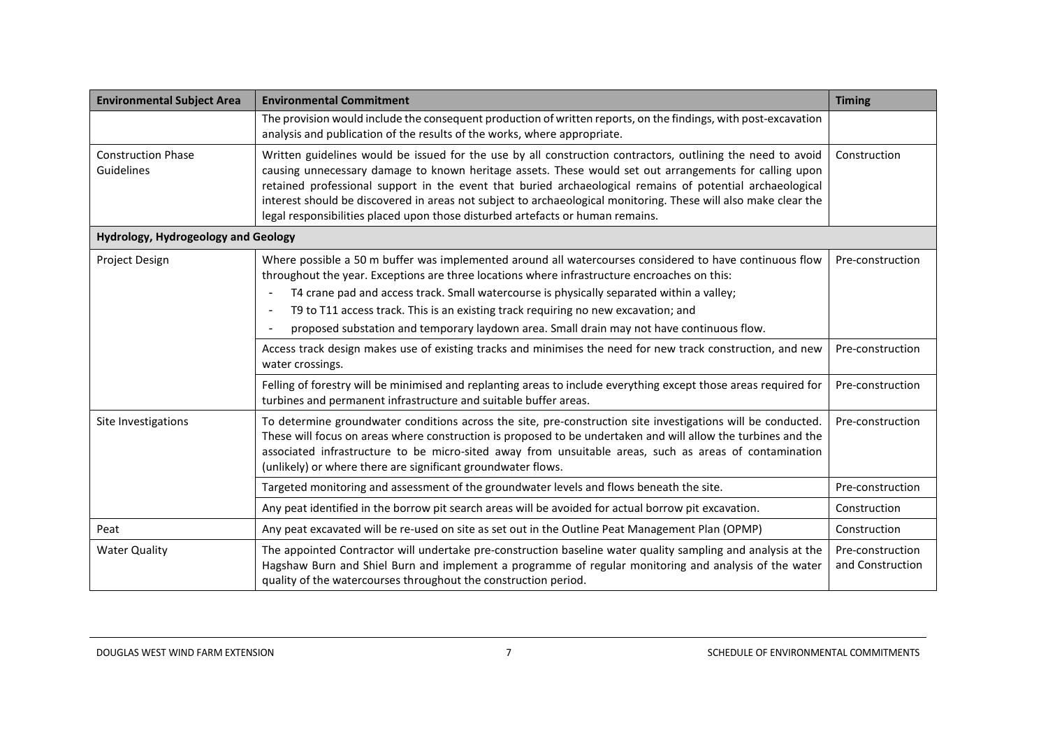| <b>Environmental Subject Area</b>          | <b>Environmental Commitment</b>                                                                                                                                                                                                                                                                                                                                                                                                                                                                                                         | <b>Timing</b>                        |
|--------------------------------------------|-----------------------------------------------------------------------------------------------------------------------------------------------------------------------------------------------------------------------------------------------------------------------------------------------------------------------------------------------------------------------------------------------------------------------------------------------------------------------------------------------------------------------------------------|--------------------------------------|
|                                            | The provision would include the consequent production of written reports, on the findings, with post-excavation<br>analysis and publication of the results of the works, where appropriate.                                                                                                                                                                                                                                                                                                                                             |                                      |
| <b>Construction Phase</b><br>Guidelines    | Written guidelines would be issued for the use by all construction contractors, outlining the need to avoid<br>causing unnecessary damage to known heritage assets. These would set out arrangements for calling upon<br>retained professional support in the event that buried archaeological remains of potential archaeological<br>interest should be discovered in areas not subject to archaeological monitoring. These will also make clear the<br>legal responsibilities placed upon those disturbed artefacts or human remains. | Construction                         |
| <b>Hydrology, Hydrogeology and Geology</b> |                                                                                                                                                                                                                                                                                                                                                                                                                                                                                                                                         |                                      |
| Project Design                             | Where possible a 50 m buffer was implemented around all watercourses considered to have continuous flow<br>throughout the year. Exceptions are three locations where infrastructure encroaches on this:<br>T4 crane pad and access track. Small watercourse is physically separated within a valley;<br>T9 to T11 access track. This is an existing track requiring no new excavation; and                                                                                                                                              | Pre-construction                     |
|                                            | proposed substation and temporary laydown area. Small drain may not have continuous flow.<br>Access track design makes use of existing tracks and minimises the need for new track construction, and new<br>water crossings.                                                                                                                                                                                                                                                                                                            | Pre-construction                     |
|                                            | Felling of forestry will be minimised and replanting areas to include everything except those areas required for<br>turbines and permanent infrastructure and suitable buffer areas.                                                                                                                                                                                                                                                                                                                                                    | Pre-construction                     |
| Site Investigations                        | To determine groundwater conditions across the site, pre-construction site investigations will be conducted.<br>These will focus on areas where construction is proposed to be undertaken and will allow the turbines and the<br>associated infrastructure to be micro-sited away from unsuitable areas, such as areas of contamination<br>(unlikely) or where there are significant groundwater flows.                                                                                                                                 | Pre-construction                     |
|                                            | Targeted monitoring and assessment of the groundwater levels and flows beneath the site.                                                                                                                                                                                                                                                                                                                                                                                                                                                | Pre-construction                     |
|                                            | Any peat identified in the borrow pit search areas will be avoided for actual borrow pit excavation.                                                                                                                                                                                                                                                                                                                                                                                                                                    | Construction                         |
| Peat                                       | Any peat excavated will be re-used on site as set out in the Outline Peat Management Plan (OPMP)                                                                                                                                                                                                                                                                                                                                                                                                                                        | Construction                         |
| <b>Water Quality</b>                       | The appointed Contractor will undertake pre-construction baseline water quality sampling and analysis at the<br>Hagshaw Burn and Shiel Burn and implement a programme of regular monitoring and analysis of the water<br>quality of the watercourses throughout the construction period.                                                                                                                                                                                                                                                | Pre-construction<br>and Construction |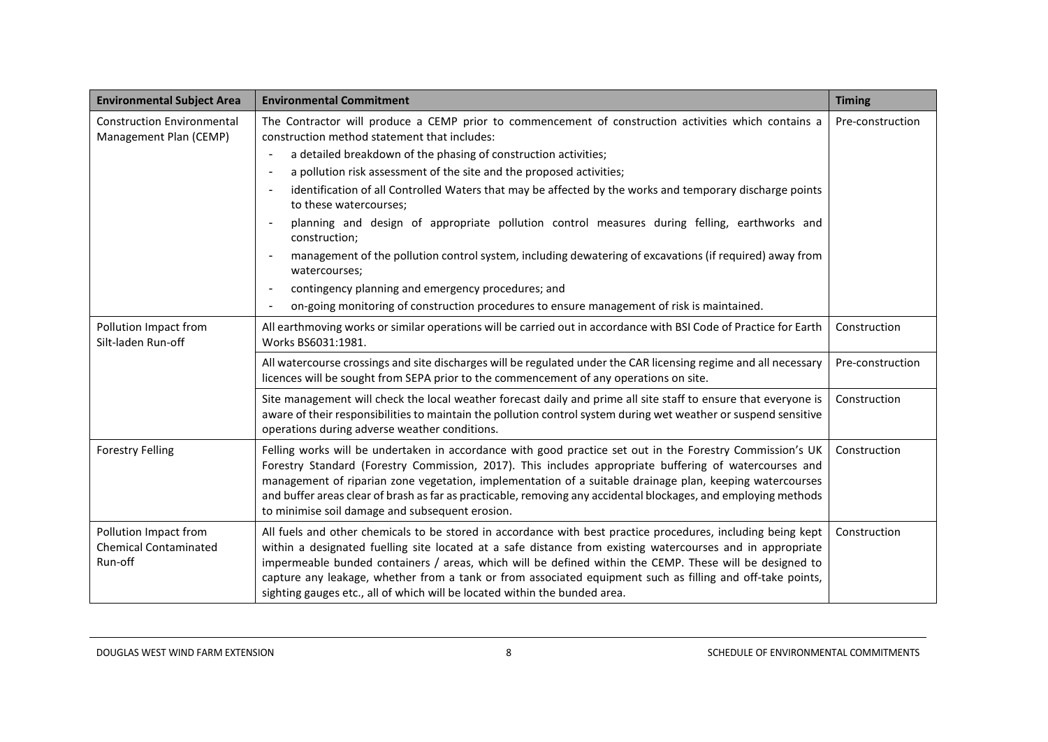| <b>Environmental Subject Area</b>                                | <b>Environmental Commitment</b>                                                                                                                                                                                                                                                                                                                                                                                                                                                                                                   | <b>Timing</b>    |
|------------------------------------------------------------------|-----------------------------------------------------------------------------------------------------------------------------------------------------------------------------------------------------------------------------------------------------------------------------------------------------------------------------------------------------------------------------------------------------------------------------------------------------------------------------------------------------------------------------------|------------------|
| <b>Construction Environmental</b><br>Management Plan (CEMP)      | The Contractor will produce a CEMP prior to commencement of construction activities which contains a<br>construction method statement that includes:                                                                                                                                                                                                                                                                                                                                                                              | Pre-construction |
|                                                                  | a detailed breakdown of the phasing of construction activities;                                                                                                                                                                                                                                                                                                                                                                                                                                                                   |                  |
|                                                                  | a pollution risk assessment of the site and the proposed activities;                                                                                                                                                                                                                                                                                                                                                                                                                                                              |                  |
|                                                                  | identification of all Controlled Waters that may be affected by the works and temporary discharge points<br>to these watercourses;                                                                                                                                                                                                                                                                                                                                                                                                |                  |
|                                                                  | planning and design of appropriate pollution control measures during felling, earthworks and<br>construction;                                                                                                                                                                                                                                                                                                                                                                                                                     |                  |
|                                                                  | management of the pollution control system, including dewatering of excavations (if required) away from<br>watercourses;                                                                                                                                                                                                                                                                                                                                                                                                          |                  |
|                                                                  | contingency planning and emergency procedures; and                                                                                                                                                                                                                                                                                                                                                                                                                                                                                |                  |
|                                                                  | on-going monitoring of construction procedures to ensure management of risk is maintained.                                                                                                                                                                                                                                                                                                                                                                                                                                        |                  |
| Pollution Impact from<br>Silt-laden Run-off                      | All earthmoving works or similar operations will be carried out in accordance with BSI Code of Practice for Earth<br>Works BS6031:1981.                                                                                                                                                                                                                                                                                                                                                                                           | Construction     |
|                                                                  | All watercourse crossings and site discharges will be regulated under the CAR licensing regime and all necessary<br>licences will be sought from SEPA prior to the commencement of any operations on site.                                                                                                                                                                                                                                                                                                                        | Pre-construction |
|                                                                  | Site management will check the local weather forecast daily and prime all site staff to ensure that everyone is<br>aware of their responsibilities to maintain the pollution control system during wet weather or suspend sensitive<br>operations during adverse weather conditions.                                                                                                                                                                                                                                              | Construction     |
| <b>Forestry Felling</b>                                          | Felling works will be undertaken in accordance with good practice set out in the Forestry Commission's UK<br>Forestry Standard (Forestry Commission, 2017). This includes appropriate buffering of watercourses and<br>management of riparian zone vegetation, implementation of a suitable drainage plan, keeping watercourses<br>and buffer areas clear of brash as far as practicable, removing any accidental blockages, and employing methods<br>to minimise soil damage and subsequent erosion.                             | Construction     |
| Pollution Impact from<br><b>Chemical Contaminated</b><br>Run-off | All fuels and other chemicals to be stored in accordance with best practice procedures, including being kept<br>within a designated fuelling site located at a safe distance from existing watercourses and in appropriate<br>impermeable bunded containers / areas, which will be defined within the CEMP. These will be designed to<br>capture any leakage, whether from a tank or from associated equipment such as filling and off-take points,<br>sighting gauges etc., all of which will be located within the bunded area. | Construction     |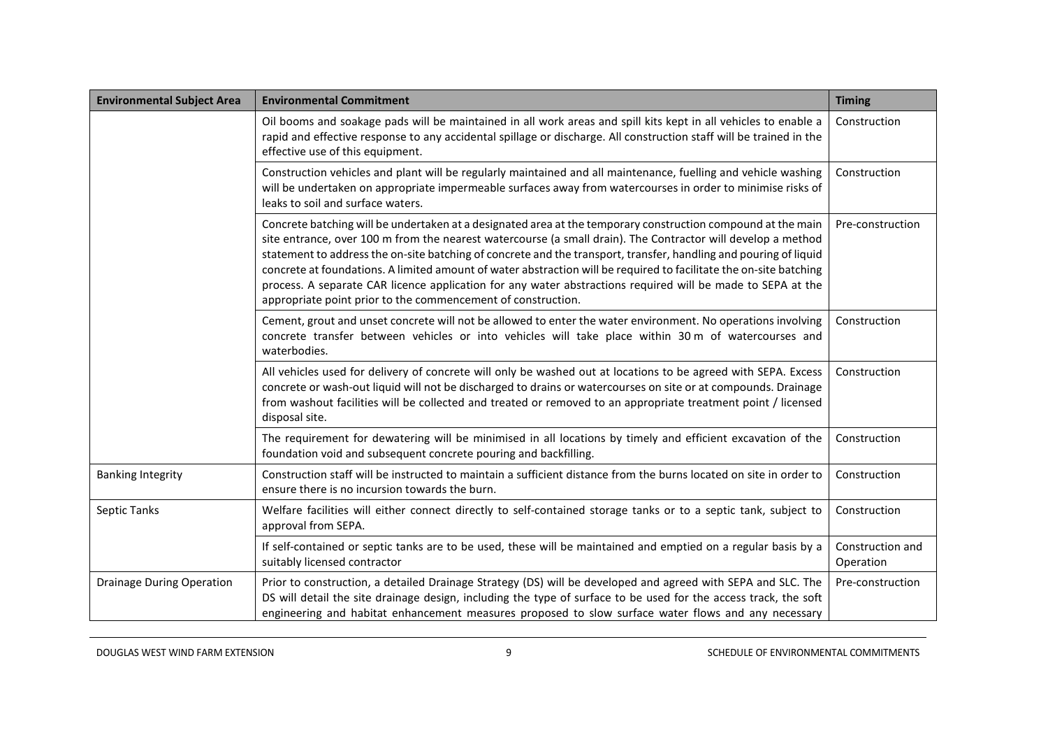| <b>Environmental Subject Area</b> | <b>Environmental Commitment</b>                                                                                                                                                                                                                                                                                                                                                                                                                                                                                                                                                                                                                        | <b>Timing</b>                 |
|-----------------------------------|--------------------------------------------------------------------------------------------------------------------------------------------------------------------------------------------------------------------------------------------------------------------------------------------------------------------------------------------------------------------------------------------------------------------------------------------------------------------------------------------------------------------------------------------------------------------------------------------------------------------------------------------------------|-------------------------------|
|                                   | Oil booms and soakage pads will be maintained in all work areas and spill kits kept in all vehicles to enable a<br>rapid and effective response to any accidental spillage or discharge. All construction staff will be trained in the<br>effective use of this equipment.                                                                                                                                                                                                                                                                                                                                                                             | Construction                  |
|                                   | Construction vehicles and plant will be regularly maintained and all maintenance, fuelling and vehicle washing<br>will be undertaken on appropriate impermeable surfaces away from watercourses in order to minimise risks of<br>leaks to soil and surface waters.                                                                                                                                                                                                                                                                                                                                                                                     | Construction                  |
|                                   | Concrete batching will be undertaken at a designated area at the temporary construction compound at the main<br>site entrance, over 100 m from the nearest watercourse (a small drain). The Contractor will develop a method<br>statement to address the on-site batching of concrete and the transport, transfer, handling and pouring of liquid<br>concrete at foundations. A limited amount of water abstraction will be required to facilitate the on-site batching<br>process. A separate CAR licence application for any water abstractions required will be made to SEPA at the<br>appropriate point prior to the commencement of construction. | Pre-construction              |
|                                   | Cement, grout and unset concrete will not be allowed to enter the water environment. No operations involving<br>concrete transfer between vehicles or into vehicles will take place within 30 m of watercourses and<br>waterbodies.                                                                                                                                                                                                                                                                                                                                                                                                                    | Construction                  |
|                                   | All vehicles used for delivery of concrete will only be washed out at locations to be agreed with SEPA. Excess<br>concrete or wash-out liquid will not be discharged to drains or watercourses on site or at compounds. Drainage<br>from washout facilities will be collected and treated or removed to an appropriate treatment point / licensed<br>disposal site.                                                                                                                                                                                                                                                                                    | Construction                  |
|                                   | The requirement for dewatering will be minimised in all locations by timely and efficient excavation of the<br>foundation void and subsequent concrete pouring and backfilling.                                                                                                                                                                                                                                                                                                                                                                                                                                                                        | Construction                  |
| <b>Banking Integrity</b>          | Construction staff will be instructed to maintain a sufficient distance from the burns located on site in order to<br>ensure there is no incursion towards the burn.                                                                                                                                                                                                                                                                                                                                                                                                                                                                                   | Construction                  |
| Septic Tanks                      | Welfare facilities will either connect directly to self-contained storage tanks or to a septic tank, subject to<br>approval from SEPA.                                                                                                                                                                                                                                                                                                                                                                                                                                                                                                                 | Construction                  |
|                                   | If self-contained or septic tanks are to be used, these will be maintained and emptied on a regular basis by a<br>suitably licensed contractor                                                                                                                                                                                                                                                                                                                                                                                                                                                                                                         | Construction and<br>Operation |
| <b>Drainage During Operation</b>  | Prior to construction, a detailed Drainage Strategy (DS) will be developed and agreed with SEPA and SLC. The<br>DS will detail the site drainage design, including the type of surface to be used for the access track, the soft<br>engineering and habitat enhancement measures proposed to slow surface water flows and any necessary                                                                                                                                                                                                                                                                                                                | Pre-construction              |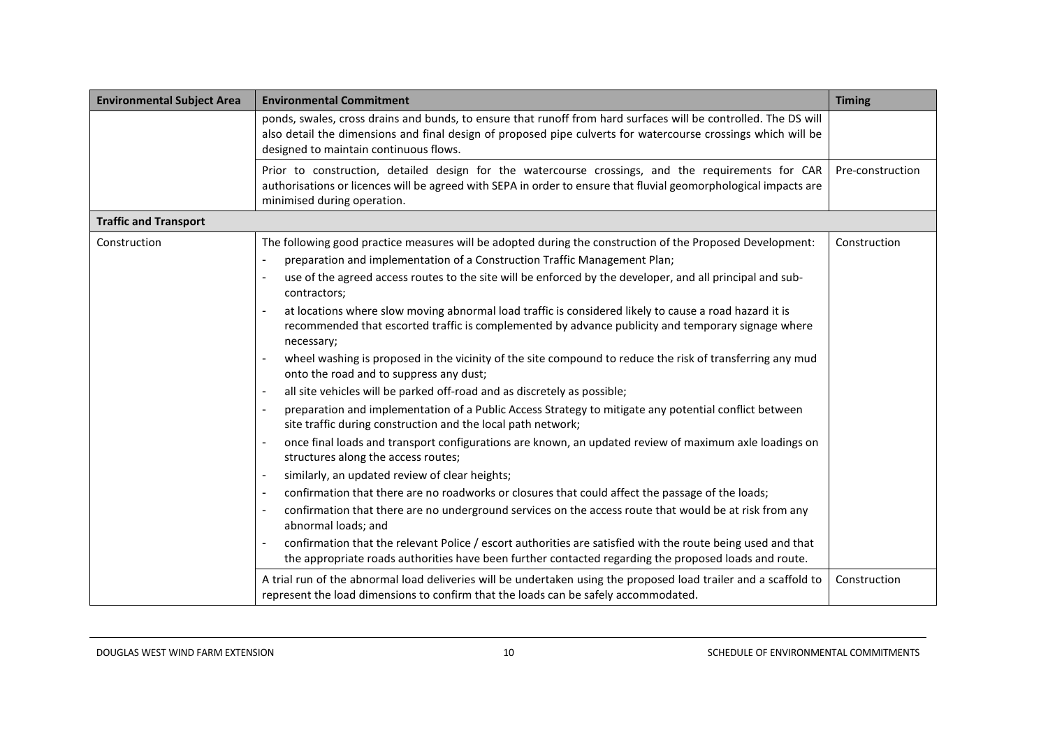| <b>Environmental Subject Area</b> | <b>Environmental Commitment</b>                                                                                                                                                                                                                                            | <b>Timing</b>    |
|-----------------------------------|----------------------------------------------------------------------------------------------------------------------------------------------------------------------------------------------------------------------------------------------------------------------------|------------------|
|                                   | ponds, swales, cross drains and bunds, to ensure that runoff from hard surfaces will be controlled. The DS will<br>also detail the dimensions and final design of proposed pipe culverts for watercourse crossings which will be<br>designed to maintain continuous flows. |                  |
|                                   | Prior to construction, detailed design for the watercourse crossings, and the requirements for CAR<br>authorisations or licences will be agreed with SEPA in order to ensure that fluvial geomorphological impacts are<br>minimised during operation.                      | Pre-construction |
| <b>Traffic and Transport</b>      |                                                                                                                                                                                                                                                                            |                  |
| Construction                      | The following good practice measures will be adopted during the construction of the Proposed Development:<br>preparation and implementation of a Construction Traffic Management Plan;<br>$\overline{\phantom{a}}$                                                         | Construction     |
|                                   | use of the agreed access routes to the site will be enforced by the developer, and all principal and sub-<br>$\overline{\phantom{a}}$<br>contractors;                                                                                                                      |                  |
|                                   | at locations where slow moving abnormal load traffic is considered likely to cause a road hazard it is<br>recommended that escorted traffic is complemented by advance publicity and temporary signage where<br>necessary;                                                 |                  |
|                                   | wheel washing is proposed in the vicinity of the site compound to reduce the risk of transferring any mud<br>onto the road and to suppress any dust;                                                                                                                       |                  |
|                                   | all site vehicles will be parked off-road and as discretely as possible;<br>$\overline{\phantom{a}}$                                                                                                                                                                       |                  |
|                                   | preparation and implementation of a Public Access Strategy to mitigate any potential conflict between<br>$\overline{\phantom{a}}$<br>site traffic during construction and the local path network;                                                                          |                  |
|                                   | once final loads and transport configurations are known, an updated review of maximum axle loadings on<br>structures along the access routes;                                                                                                                              |                  |
|                                   | similarly, an updated review of clear heights;                                                                                                                                                                                                                             |                  |
|                                   | confirmation that there are no roadworks or closures that could affect the passage of the loads;<br>$\blacksquare$                                                                                                                                                         |                  |
|                                   | confirmation that there are no underground services on the access route that would be at risk from any<br>abnormal loads; and                                                                                                                                              |                  |
|                                   | confirmation that the relevant Police / escort authorities are satisfied with the route being used and that<br>the appropriate roads authorities have been further contacted regarding the proposed loads and route.                                                       |                  |
|                                   | A trial run of the abnormal load deliveries will be undertaken using the proposed load trailer and a scaffold to<br>represent the load dimensions to confirm that the loads can be safely accommodated.                                                                    | Construction     |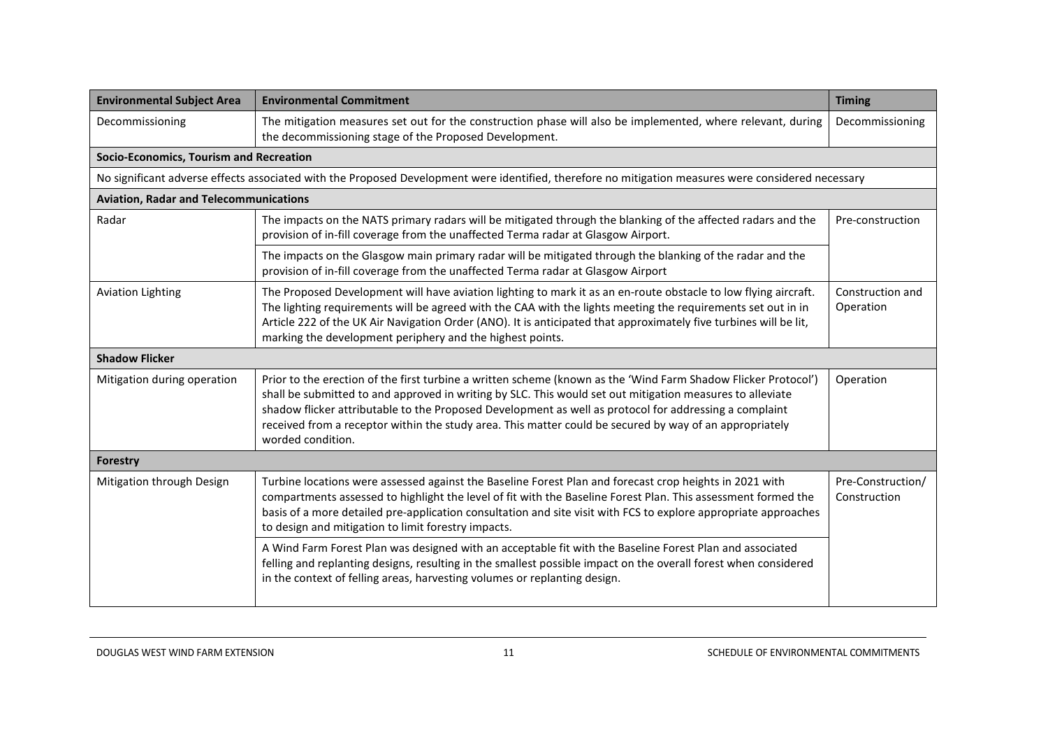| <b>Environmental Subject Area</b>             | <b>Environmental Commitment</b>                                                                                                                                                                                                                                                                                                                                                                                                                                       | <b>Timing</b>                     |
|-----------------------------------------------|-----------------------------------------------------------------------------------------------------------------------------------------------------------------------------------------------------------------------------------------------------------------------------------------------------------------------------------------------------------------------------------------------------------------------------------------------------------------------|-----------------------------------|
| Decommissioning                               | The mitigation measures set out for the construction phase will also be implemented, where relevant, during<br>the decommissioning stage of the Proposed Development.                                                                                                                                                                                                                                                                                                 | Decommissioning                   |
| Socio-Economics, Tourism and Recreation       |                                                                                                                                                                                                                                                                                                                                                                                                                                                                       |                                   |
|                                               | No significant adverse effects associated with the Proposed Development were identified, therefore no mitigation measures were considered necessary                                                                                                                                                                                                                                                                                                                   |                                   |
| <b>Aviation, Radar and Telecommunications</b> |                                                                                                                                                                                                                                                                                                                                                                                                                                                                       |                                   |
| Radar                                         | The impacts on the NATS primary radars will be mitigated through the blanking of the affected radars and the<br>provision of in-fill coverage from the unaffected Terma radar at Glasgow Airport.                                                                                                                                                                                                                                                                     | Pre-construction                  |
|                                               | The impacts on the Glasgow main primary radar will be mitigated through the blanking of the radar and the<br>provision of in-fill coverage from the unaffected Terma radar at Glasgow Airport                                                                                                                                                                                                                                                                         |                                   |
| <b>Aviation Lighting</b>                      | The Proposed Development will have aviation lighting to mark it as an en-route obstacle to low flying aircraft.<br>The lighting requirements will be agreed with the CAA with the lights meeting the requirements set out in in<br>Article 222 of the UK Air Navigation Order (ANO). It is anticipated that approximately five turbines will be lit,<br>marking the development periphery and the highest points.                                                     | Construction and<br>Operation     |
| <b>Shadow Flicker</b>                         |                                                                                                                                                                                                                                                                                                                                                                                                                                                                       |                                   |
| Mitigation during operation                   | Prior to the erection of the first turbine a written scheme (known as the 'Wind Farm Shadow Flicker Protocol')<br>shall be submitted to and approved in writing by SLC. This would set out mitigation measures to alleviate<br>shadow flicker attributable to the Proposed Development as well as protocol for addressing a complaint<br>received from a receptor within the study area. This matter could be secured by way of an appropriately<br>worded condition. | Operation                         |
| <b>Forestry</b>                               |                                                                                                                                                                                                                                                                                                                                                                                                                                                                       |                                   |
| Mitigation through Design                     | Turbine locations were assessed against the Baseline Forest Plan and forecast crop heights in 2021 with<br>compartments assessed to highlight the level of fit with the Baseline Forest Plan. This assessment formed the<br>basis of a more detailed pre-application consultation and site visit with FCS to explore appropriate approaches<br>to design and mitigation to limit forestry impacts.                                                                    | Pre-Construction/<br>Construction |
|                                               | A Wind Farm Forest Plan was designed with an acceptable fit with the Baseline Forest Plan and associated<br>felling and replanting designs, resulting in the smallest possible impact on the overall forest when considered<br>in the context of felling areas, harvesting volumes or replanting design.                                                                                                                                                              |                                   |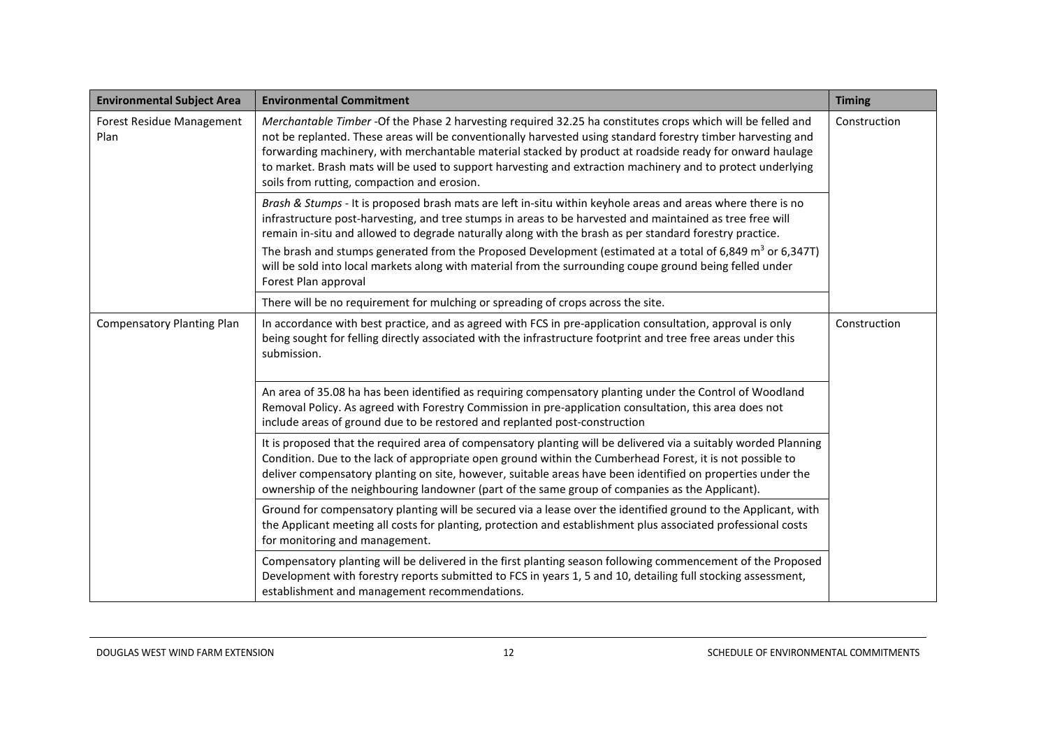| <b>Environmental Subject Area</b> | <b>Environmental Commitment</b>                                                                                                                                                                                                                                                                                                                                                                                                                                                                       | <b>Timing</b> |
|-----------------------------------|-------------------------------------------------------------------------------------------------------------------------------------------------------------------------------------------------------------------------------------------------------------------------------------------------------------------------------------------------------------------------------------------------------------------------------------------------------------------------------------------------------|---------------|
| Forest Residue Management<br>Plan | Merchantable Timber -Of the Phase 2 harvesting required 32.25 ha constitutes crops which will be felled and<br>not be replanted. These areas will be conventionally harvested using standard forestry timber harvesting and<br>forwarding machinery, with merchantable material stacked by product at roadside ready for onward haulage<br>to market. Brash mats will be used to support harvesting and extraction machinery and to protect underlying<br>soils from rutting, compaction and erosion. | Construction  |
|                                   | Brash & Stumps - It is proposed brash mats are left in-situ within keyhole areas and areas where there is no<br>infrastructure post-harvesting, and tree stumps in areas to be harvested and maintained as tree free will<br>remain in-situ and allowed to degrade naturally along with the brash as per standard forestry practice.                                                                                                                                                                  |               |
|                                   | The brash and stumps generated from the Proposed Development (estimated at a total of 6,849 $m^3$ or 6,347T)<br>will be sold into local markets along with material from the surrounding coupe ground being felled under<br>Forest Plan approval                                                                                                                                                                                                                                                      |               |
|                                   | There will be no requirement for mulching or spreading of crops across the site.                                                                                                                                                                                                                                                                                                                                                                                                                      |               |
| <b>Compensatory Planting Plan</b> | In accordance with best practice, and as agreed with FCS in pre-application consultation, approval is only<br>being sought for felling directly associated with the infrastructure footprint and tree free areas under this<br>submission.                                                                                                                                                                                                                                                            | Construction  |
|                                   | An area of 35.08 ha has been identified as requiring compensatory planting under the Control of Woodland<br>Removal Policy. As agreed with Forestry Commission in pre-application consultation, this area does not<br>include areas of ground due to be restored and replanted post-construction                                                                                                                                                                                                      |               |
|                                   | It is proposed that the required area of compensatory planting will be delivered via a suitably worded Planning<br>Condition. Due to the lack of appropriate open ground within the Cumberhead Forest, it is not possible to<br>deliver compensatory planting on site, however, suitable areas have been identified on properties under the<br>ownership of the neighbouring landowner (part of the same group of companies as the Applicant).                                                        |               |
|                                   | Ground for compensatory planting will be secured via a lease over the identified ground to the Applicant, with<br>the Applicant meeting all costs for planting, protection and establishment plus associated professional costs<br>for monitoring and management.                                                                                                                                                                                                                                     |               |
|                                   | Compensatory planting will be delivered in the first planting season following commencement of the Proposed<br>Development with forestry reports submitted to FCS in years 1, 5 and 10, detailing full stocking assessment,<br>establishment and management recommendations.                                                                                                                                                                                                                          |               |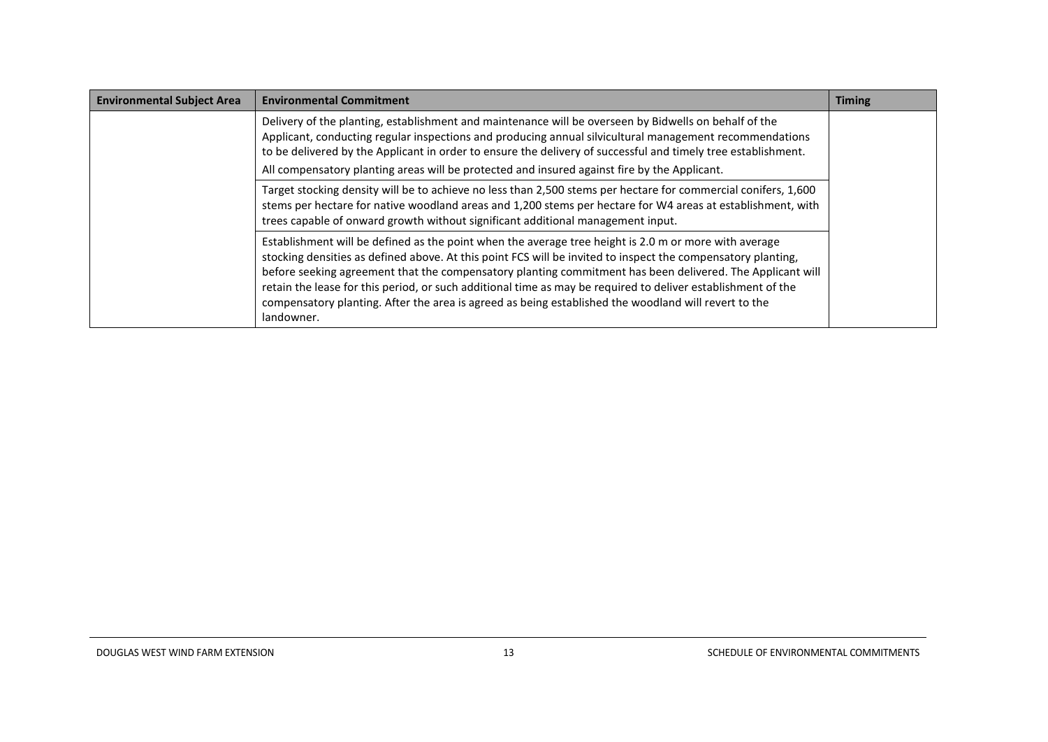| <b>Environmental Subject Area</b> | <b>Environmental Commitment</b>                                                                                                                                                                                                                                                                                                                                                                                                                                                                                                                                          | <b>Timing</b> |
|-----------------------------------|--------------------------------------------------------------------------------------------------------------------------------------------------------------------------------------------------------------------------------------------------------------------------------------------------------------------------------------------------------------------------------------------------------------------------------------------------------------------------------------------------------------------------------------------------------------------------|---------------|
|                                   | Delivery of the planting, establishment and maintenance will be overseen by Bidwells on behalf of the<br>Applicant, conducting regular inspections and producing annual silvicultural management recommendations<br>to be delivered by the Applicant in order to ensure the delivery of successful and timely tree establishment.<br>All compensatory planting areas will be protected and insured against fire by the Applicant.                                                                                                                                        |               |
|                                   | Target stocking density will be to achieve no less than 2,500 stems per hectare for commercial conifers, 1,600<br>stems per hectare for native woodland areas and 1,200 stems per hectare for W4 areas at establishment, with<br>trees capable of onward growth without significant additional management input.                                                                                                                                                                                                                                                         |               |
|                                   | Establishment will be defined as the point when the average tree height is 2.0 m or more with average<br>stocking densities as defined above. At this point FCS will be invited to inspect the compensatory planting,<br>before seeking agreement that the compensatory planting commitment has been delivered. The Applicant will<br>retain the lease for this period, or such additional time as may be required to deliver establishment of the<br>compensatory planting. After the area is agreed as being established the woodland will revert to the<br>landowner. |               |